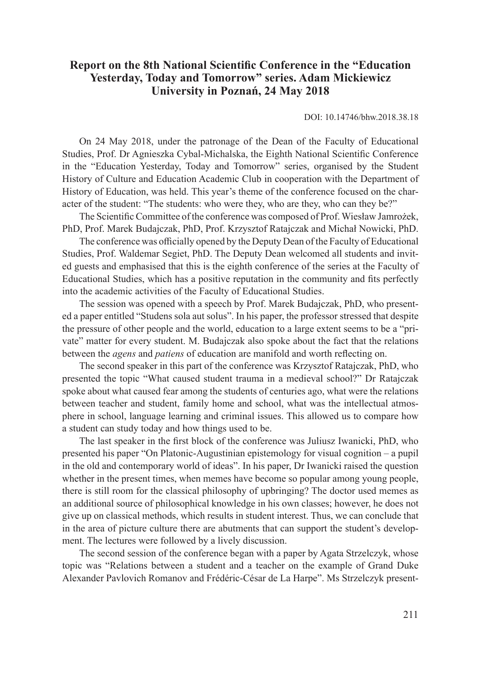## **Report on the 8th National Scientific Conference in the "Education Yesterday, Today and Tomorrow" series. Adam Mickiewicz University in Poznań, 24 May 2018**

DOI: 10.14746/bhw.2018.38.18

On 24 May 2018, under the patronage of the Dean of the Faculty of Educational Studies, Prof. Dr Agnieszka Cybal-Michalska, the Eighth National Scientific Conference in the "Education Yesterday, Today and Tomorrow" series, organised by the Student History of Culture and Education Academic Club in cooperation with the Department of History of Education, was held. This year's theme of the conference focused on the character of the student: "The students: who were they, who are they, who can they be?"

The Scientific Committee of the conference was composed of Prof. Wiesław Jamrożek, PhD, Prof. Marek Budajczak, PhD, Prof. Krzysztof Ratajczak and Michał Nowicki, PhD.

The conference was officially opened by the Deputy Dean of the Faculty of Educational Studies, Prof. Waldemar Segiet, PhD. The Deputy Dean welcomed all students and invited guests and emphasised that this is the eighth conference of the series at the Faculty of Educational Studies, which has a positive reputation in the community and fits perfectly into the academic activities of the Faculty of Educational Studies.

The session was opened with a speech by Prof. Marek Budajczak, PhD, who presented a paper entitled "Studens sola aut solus". In his paper, the professor stressed that despite the pressure of other people and the world, education to a large extent seems to be a "private" matter for every student. M. Budajczak also spoke about the fact that the relations between the *agens* and *patiens* of education are manifold and worth reflecting on.

The second speaker in this part of the conference was Krzysztof Ratajczak, PhD, who presented the topic "What caused student trauma in a medieval school?" Dr Ratajczak spoke about what caused fear among the students of centuries ago, what were the relations between teacher and student, family home and school, what was the intellectual atmosphere in school, language learning and criminal issues. This allowed us to compare how a student can study today and how things used to be.

The last speaker in the first block of the conference was Juliusz Iwanicki, PhD, who presented his paper "On Platonic-Augustinian epistemology for visual cognition – a pupil in the old and contemporary world of ideas". In his paper, Dr Iwanicki raised the question whether in the present times, when memes have become so popular among young people, there is still room for the classical philosophy of upbringing? The doctor used memes as an additional source of philosophical knowledge in his own classes; however, he does not give up on classical methods, which results in student interest. Thus, we can conclude that in the area of picture culture there are abutments that can support the student's development. The lectures were followed by a lively discussion.

The second session of the conference began with a paper by Agata Strzelczyk, whose topic was "Relations between a student and a teacher on the example of Grand Duke Alexander Pavlovich Romanov and Frédéric-César de La Harpe". Ms Strzelczyk present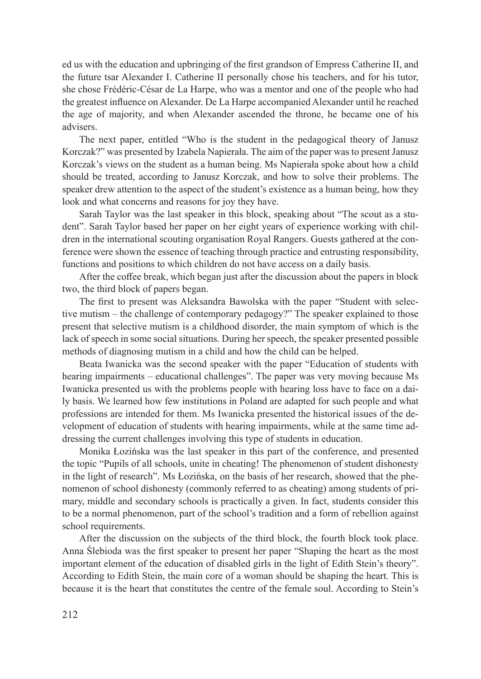ed us with the education and upbringing of the first grandson of Empress Catherine II, and the future tsar Alexander I. Catherine II personally chose his teachers, and for his tutor, she chose Frédéric-César de La Harpe, who was a mentor and one of the people who had the greatest influence on Alexander. De La Harpe accompanied Alexander until he reached the age of majority, and when Alexander ascended the throne, he became one of his advisers.

The next paper, entitled "Who is the student in the pedagogical theory of Janusz Korczak?" was presented by Izabela Napierała. The aim of the paper was to present Janusz Korczak's views on the student as a human being. Ms Napierała spoke about how a child should be treated, according to Janusz Korczak, and how to solve their problems. The speaker drew attention to the aspect of the student's existence as a human being, how they look and what concerns and reasons for joy they have.

Sarah Taylor was the last speaker in this block, speaking about "The scout as a student". Sarah Taylor based her paper on her eight years of experience working with children in the international scouting organisation Royal Rangers. Guests gathered at the conference were shown the essence of teaching through practice and entrusting responsibility, functions and positions to which children do not have access on a daily basis.

After the coffee break, which began just after the discussion about the papers in block two, the third block of papers began.

The first to present was Aleksandra Bawolska with the paper "Student with selective mutism – the challenge of contemporary pedagogy?" The speaker explained to those present that selective mutism is a childhood disorder, the main symptom of which is the lack of speech in some social situations. During her speech, the speaker presented possible methods of diagnosing mutism in a child and how the child can be helped.

Beata Iwanicka was the second speaker with the paper "Education of students with hearing impairments – educational challenges". The paper was very moving because Ms Iwanicka presented us with the problems people with hearing loss have to face on a daily basis. We learned how few institutions in Poland are adapted for such people and what professions are intended for them. Ms Iwanicka presented the historical issues of the development of education of students with hearing impairments, while at the same time addressing the current challenges involving this type of students in education.

Monika Łozińska was the last speaker in this part of the conference, and presented the topic "Pupils of all schools, unite in cheating! The phenomenon of student dishonesty in the light of research". Ms Łozińska, on the basis of her research, showed that the phenomenon of school dishonesty (commonly referred to as cheating) among students of primary, middle and secondary schools is practically a given. In fact, students consider this to be a normal phenomenon, part of the school's tradition and a form of rebellion against school requirements.

After the discussion on the subjects of the third block, the fourth block took place. Anna Ślebioda was the first speaker to present her paper "Shaping the heart as the most important element of the education of disabled girls in the light of Edith Stein's theory". According to Edith Stein, the main core of a woman should be shaping the heart. This is because it is the heart that constitutes the centre of the female soul. According to Stein's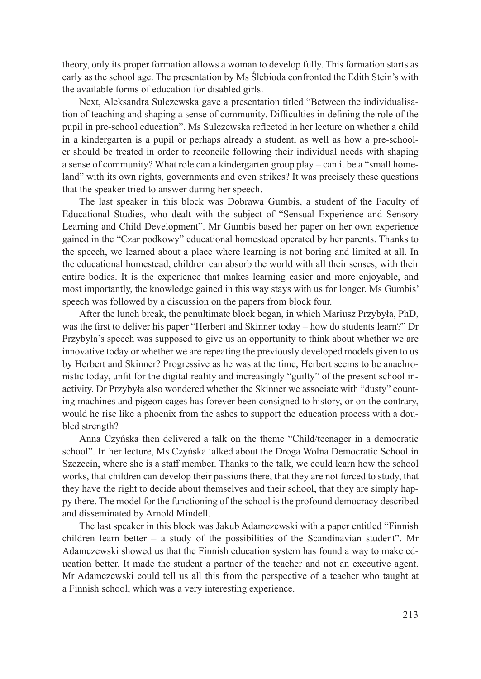theory, only its proper formation allows a woman to develop fully. This formation starts as early as the school age. The presentation by Ms Ślebioda confronted the Edith Stein's with the available forms of education for disabled girls.

Next, Aleksandra Sulczewska gave a presentation titled "Between the individualisation of teaching and shaping a sense of community. Difficulties in defining the role of the pupil in pre-school education". Ms Sulczewska reflected in her lecture on whether a child in a kindergarten is a pupil or perhaps already a student, as well as how a pre-schooler should be treated in order to reconcile following their individual needs with shaping a sense of community? What role can a kindergarten group play – can it be a "small homeland" with its own rights, governments and even strikes? It was precisely these questions that the speaker tried to answer during her speech.

The last speaker in this block was Dobrawa Gumbis, a student of the Faculty of Educational Studies, who dealt with the subject of "Sensual Experience and Sensory Learning and Child Development". Mr Gumbis based her paper on her own experience gained in the "Czar podkowy" educational homestead operated by her parents. Thanks to the speech, we learned about a place where learning is not boring and limited at all. In the educational homestead, children can absorb the world with all their senses, with their entire bodies. It is the experience that makes learning easier and more enjoyable, and most importantly, the knowledge gained in this way stays with us for longer. Ms Gumbis' speech was followed by a discussion on the papers from block four.

After the lunch break, the penultimate block began, in which Mariusz Przybyła, PhD, was the first to deliver his paper "Herbert and Skinner today – how do students learn?" Dr Przybyła's speech was supposed to give us an opportunity to think about whether we are innovative today or whether we are repeating the previously developed models given to us by Herbert and Skinner? Progressive as he was at the time, Herbert seems to be anachronistic today, unfit for the digital reality and increasingly "guilty" of the present school inactivity. Dr Przybyła also wondered whether the Skinner we associate with "dusty" counting machines and pigeon cages has forever been consigned to history, or on the contrary, would he rise like a phoenix from the ashes to support the education process with a doubled strength?

Anna Czyńska then delivered a talk on the theme "Child/teenager in a democratic school". In her lecture, Ms Czyńska talked about the Droga Wolna Democratic School in Szczecin, where she is a staff member. Thanks to the talk, we could learn how the school works, that children can develop their passions there, that they are not forced to study, that they have the right to decide about themselves and their school, that they are simply happy there. The model for the functioning of the school is the profound democracy described and disseminated by Arnold Mindell.

The last speaker in this block was Jakub Adamczewski with a paper entitled "Finnish children learn better – a study of the possibilities of the Scandinavian student". Mr Adamczewski showed us that the Finnish education system has found a way to make education better. It made the student a partner of the teacher and not an executive agent. Mr Adamczewski could tell us all this from the perspective of a teacher who taught at a Finnish school, which was a very interesting experience.